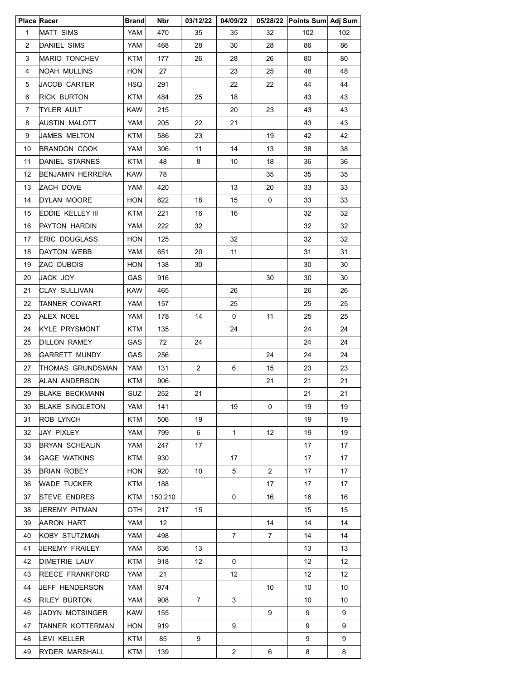|                | <b>Place Racer</b>     | <b>Brand</b> | Nbr     | 03/12/22       | 04/09/22       |                       | 05/28/22 Points Sum Adj Sum |     |
|----------------|------------------------|--------------|---------|----------------|----------------|-----------------------|-----------------------------|-----|
| $\mathbf{1}$   | MATT SIMS              | YAM          | 470     | 35             | 35             | 32                    | 102                         | 102 |
| 2              | DANIEL SIMS            | YAM          | 468     | 28             | 30             | 28                    | 86                          | 86  |
| 3              | MARIO TONCHEV          | <b>KTM</b>   | 177     | 26             | 28             | 26                    | 80                          | 80  |
| 4              | NOAH MULLINS           | HON          | 27      |                | 23             | 25                    | 48                          | 48  |
| 5              | JACOB CARTER           | HSQ          | 291     |                | 22             | 22                    | 44                          | 44  |
| 6              | RICK BURTON            | KTM          | 484     | 25             | 18             |                       | 43                          | 43  |
| $\overline{7}$ | TYLER AULT             | KAW          | 215     |                | 20             | 23                    | 43                          | 43  |
| 8              | AUSTIN MALOTT          | YAM          | 205     | 22             | 21             |                       | 43                          | 43  |
| 9              | JAMES MELTON           | <b>KTM</b>   | 586     | 23             |                | 19                    | 42                          | 42  |
| 10             | BRANDON COOK           | YAM          | 306     | 11             | 14             | 13                    | 38                          | 38  |
| 11             | DANIEL STARNES         | <b>KTM</b>   | 48      | 8              | 10             | 18                    | 36                          | 36  |
| 12             | BENJAMIN HERRERA       | KAW          | 78      |                |                | 35                    | 35                          | 35  |
| 13             | ZACH DOVE              | YAM          | 420     |                | 13             | 20                    | 33                          | 33  |
| 14             | DYLAN MOORE            | <b>HON</b>   | 622     | 18             | 15             | 0                     | 33                          | 33  |
| 15             | EDDIE KELLEY III       | <b>KTM</b>   | 221     | 16             | 16             |                       | 32                          | 32  |
| 16             | PAYTON HARDIN          | YAM          | 222     | 32             |                |                       | 32                          | 32  |
| 17             | <b>ERIC DOUGLASS</b>   | <b>HON</b>   | 125     |                | 32             |                       | 32                          | 32  |
| 18             | DAYTON WEBB            | YAM          | 651     | 20             | 11             |                       | 31                          | 31  |
| 19             | ZAC DUBOIS             | <b>HON</b>   | 138     | 30             |                |                       | 30                          | 30  |
| 20             | JACK JOY               | GAS          | 916     |                |                | 30                    | 30                          | 30  |
| 21             | <b>CLAY SULLIVAN</b>   | <b>KAW</b>   | 465     |                | 26             |                       | 26                          | 26  |
| 22             | TANNER COWART          | YAM          | 157     |                | 25             |                       | 25                          | 25  |
| 23             | ALEX NOEL              | YAM          | 178     | 14             | 0              | 11                    | 25                          | 25  |
| 24             | KYLE PRYSMONT          | KTM          | 135     |                | 24             |                       | 24                          | 24  |
| 25             | DILLON RAMEY           | GAS          | 72      | 24             |                |                       | 24                          | 24  |
| 26             | <b>GARRETT MUNDY</b>   | GAS          | 256     |                |                | 24                    | 24                          | 24  |
| 27             | THOMAS GRUNDSMAN       | YAM          | 131     | $\overline{2}$ | 6              | 15                    | 23                          | 23  |
| 28             | ALAN ANDERSON          | KTM          | 906     |                |                | 21                    | 21                          | 21  |
| 29             | <b>BLAKE BECKMANN</b>  | SUZ          | 252     | 21             |                |                       | 21                          | 21  |
| 30             | <b>BLAKE SINGLETON</b> | YAM          | 141     |                | 19             | 0                     | 19                          | 19  |
| 31             | ROB LYNCH              | KTM          | 506     | 19             |                |                       | 19                          | 19  |
| 32             | JAY PIXLEY             | YAM          | 799     | 6              | $\mathbf{1}$   | 12                    | 19                          | 19  |
| 33             | <b>BRYAN SCHEALIN</b>  | YAM          | 247     | 17             |                |                       | 17                          | 17  |
| 34             | GAGE WATKINS           | KTM          | 930     |                | 17             |                       | 17                          | 17  |
| 35             | <b>BRIAN ROBEY</b>     | <b>HON</b>   | 920     | 10             | 5              | $\mathbf{2}^{\prime}$ | 17                          | 17  |
| 36             | WADE TUCKER            | KTM          | 188     |                |                | 17                    | 17                          | 17  |
| 37             | <b>STEVE ENDRES</b>    | KTM          | 150,210 |                | 0              | 16                    | 16                          | 16  |
| 38             | JEREMY PITMAN          | OTH          | 217     | 15             |                |                       | 15                          | 15  |
| 39             | AARON HART             | YAM          | 12      |                |                | 14                    | 14                          | 14  |
| 40             | KOBY STUTZMAN          | YAM          | 498     |                | $\mathbf{7}$   | 7                     | 14                          | 14  |
| 41             | JEREMY FRAILEY         | YAM          | 636     | 13             |                |                       | 13                          | 13  |
| 42             | DIMETRIE LAUY          | KTM          | 918     | 12             | 0              |                       | 12                          | 12  |
| 43             | REECE FRANKFORD        | YAM          | 21      |                | 12             |                       | 12                          | 12  |
| 44             | JEFF HENDERSON         | YAM          | 974     |                |                | 10                    | 10                          | 10  |
| 45             | RILEY BURTON           | YAM          | 908     | $\overline{7}$ | 3              |                       | 10                          | 10  |
| 46             | JADYN MOTSINGER        | KAW          | 155     |                |                | 9                     | 9                           | 9   |
| 47             | TANNER KOTTERMAN       | <b>HON</b>   | 919     |                | 9              |                       | 9                           | 9   |
| 48             | LEVI KELLER            | KTM          | 85      | 9              |                |                       | 9                           | 9   |
| 49             | RYDER MARSHALL         | <b>KTM</b>   | 139     |                | $\overline{a}$ | 6                     | 8                           | 8   |